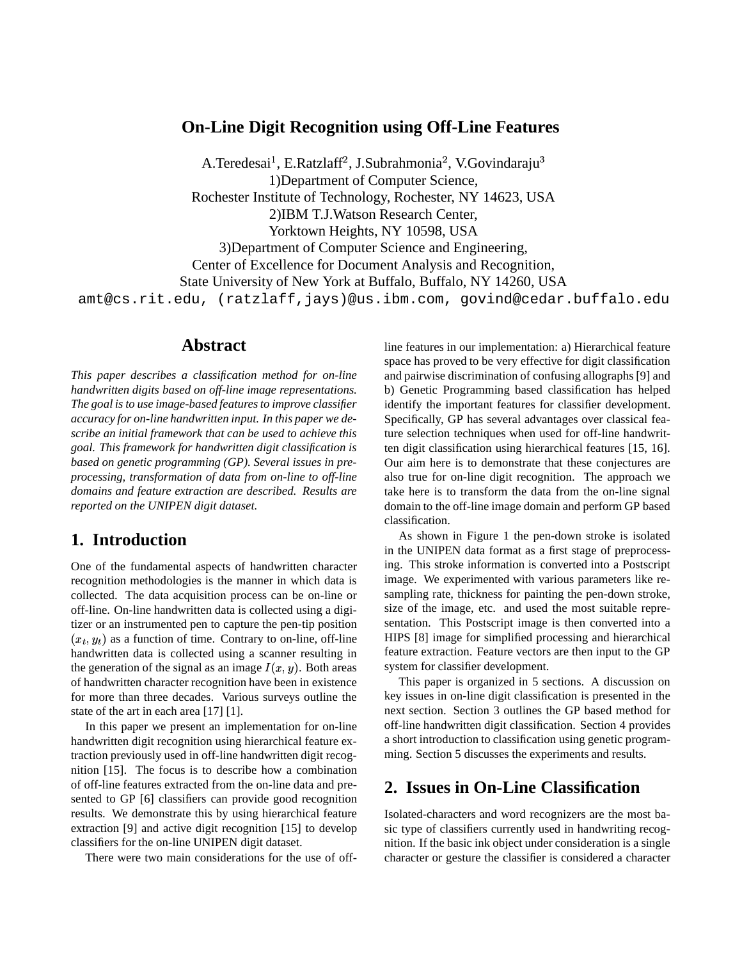#### **On-Line Digit Recognition using Off-Line Features**

A.Teredesai<sup>1</sup>, E.Ratzlaff<sup>2</sup>, J.Subrahmonia<sup>2</sup>, V.Govindaraju 1)Department of Computer Science, Rochester Institute of Technology, Rochester, NY 14623, USA 2)IBM T.J.Watson Research Center, Yorktown Heights, NY 10598, USA 3)Department of Computer Science and Engineering, Center of Excellence for Document Analysis and Recognition, State University of New York at Buffalo, Buffalo, NY 14260, USA amt@cs.rit.edu, (ratzlaff,jays)@us.ibm.com, govind@cedar.buffalo.edu

#### **Abstract**

*This paper describes a classification method for on-line handwritten digits based on off-line image representations. The goal is to use image-based features to improve classifier accuracy for on-line handwritten input. In this paper we describe an initial framework that can be used to achieve this goal. This framework for handwritten digit classification is based on genetic programming (GP). Several issues in preprocessing, transformation of data from on-line to off-line domains and feature extraction are described. Results are reported on the UNIPEN digit dataset.*

### **1. Introduction**

One of the fundamental aspects of handwritten character recognition methodologies is the manner in which data is collected. The data acquisition process can be on-line or off-line. On-line handwritten data is collected using a digitizer or an instrumented pen to capture the pen-tip position  $(x_t, y_t)$  as a function of time. Contrary to on-line, off-line handwritten data is collected using a scanner resulting in the generation of the signal as an image  $I(x, y)$ . Both areas of handwritten character recognition have been in existence for more than three decades. Various surveys outline the state of the art in each area [17] [1].

In this paper we present an implementation for on-line handwritten digit recognition using hierarchical feature extraction previously used in off-line handwritten digit recognition [15]. The focus is to describe how a combination of off-line features extracted from the on-line data and presented to GP [6] classifiers can provide good recognition results. We demonstrate this by using hierarchical feature extraction [9] and active digit recognition [15] to develop classifiers for the on-line UNIPEN digit dataset.

There were two main considerations for the use of off-

line features in our implementation: a) Hierarchical feature space has proved to be very effective for digit classification and pairwise discrimination of confusing allographs [9] and b) Genetic Programming based classification has helped identify the important features for classifier development. Specifically, GP has several advantages over classical feature selection techniques when used for off-line handwritten digit classification using hierarchical features [15, 16]. Our aim here is to demonstrate that these conjectures are also true for on-line digit recognition. The approach we take here is to transform the data from the on-line signal domain to the off-line image domain and perform GP based classification.

As shown in Figure 1 the pen-down stroke is isolated in the UNIPEN data format as a first stage of preprocessing. This stroke information is converted into a Postscript image. We experimented with various parameters like resampling rate, thickness for painting the pen-down stroke, size of the image, etc. and used the most suitable representation. This Postscript image is then converted into a HIPS [8] image for simplified processing and hierarchical feature extraction. Feature vectors are then input to the GP system for classifier development.

This paper is organized in 5 sections. A discussion on key issues in on-line digit classification is presented in the next section. Section 3 outlines the GP based method for off-line handwritten digit classification. Section 4 provides a short introduction to classification using genetic programming. Section 5 discusses the experiments and results.

### **2. Issues in On-Line Classification**

Isolated-characters and word recognizers are the most basic type of classifiers currently used in handwriting recognition. If the basic ink object under consideration is a single character or gesture the classifier is considered a character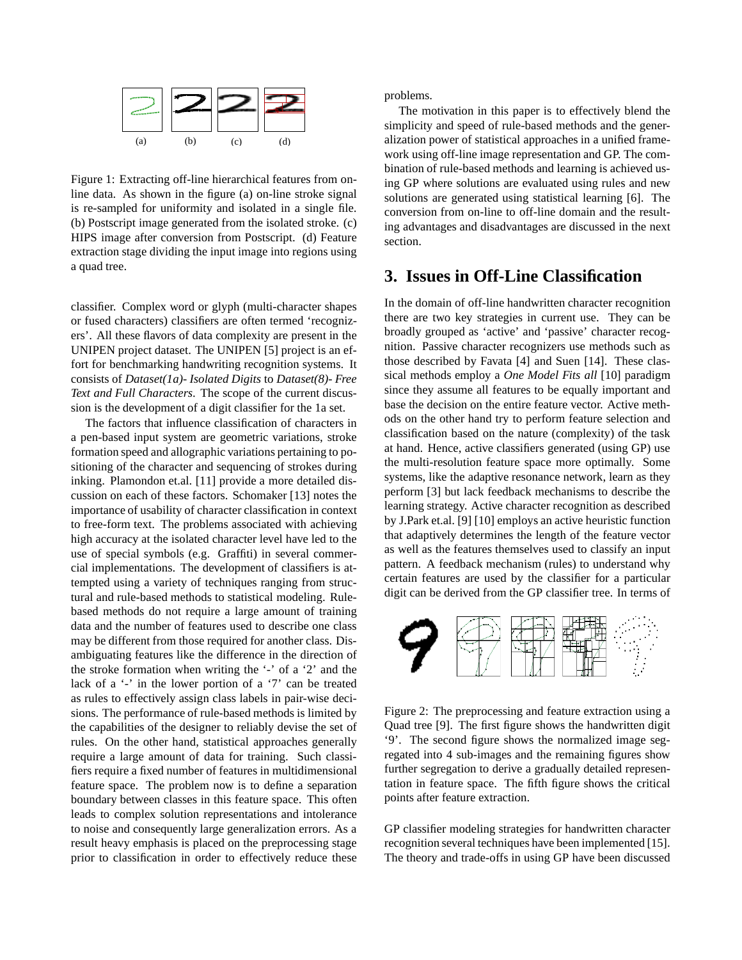

Figure 1: Extracting off-line hierarchical features from online data. As shown in the figure (a) on-line stroke signal is re-sampled for uniformity and isolated in a single file. (b) Postscript image generated from the isolated stroke. (c) HIPS image after conversion from Postscript. (d) Feature extraction stage dividing the input image into regions using a quad tree.

classifier. Complex word or glyph (multi-character shapes or fused characters) classifiers are often termed 'recognizers'. All these flavors of data complexity are present in the UNIPEN project dataset. The UNIPEN [5] project is an effort for benchmarking handwriting recognition systems. It consists of *Dataset(1a)- Isolated Digits* to *Dataset(8)- Free Text and Full Characters*. The scope of the current discussion is the development of a digit classifier for the 1a set.

The factors that influence classification of characters in a pen-based input system are geometric variations, stroke formation speed and allographic variations pertaining to positioning of the character and sequencing of strokes during inking. Plamondon et.al. [11] provide a more detailed discussion on each of these factors. Schomaker [13] notes the importance of usability of character classification in context to free-form text. The problems associated with achieving high accuracy at the isolated character level have led to the use of special symbols (e.g. Graffiti) in several commercial implementations. The development of classifiers is attempted using a variety of techniques ranging from structural and rule-based methods to statistical modeling. Rulebased methods do not require a large amount of training data and the number of features used to describe one class may be different from those required for another class. Disambiguating features like the difference in the direction of the stroke formation when writing the '-' of a '2' and the lack of a '-' in the lower portion of a '7' can be treated as rules to effectively assign class labels in pair-wise decisions. The performance of rule-based methods is limited by the capabilities of the designer to reliably devise the set of rules. On the other hand, statistical approaches generally require a large amount of data for training. Such classifiers require a fixed number of features in multidimensional feature space. The problem now is to define a separation boundary between classes in this feature space. This often leads to complex solution representations and intolerance to noise and consequently large generalization errors. As a result heavy emphasis is placed on the preprocessing stage prior to classification in order to effectively reduce these problems.

The motivation in this paper is to effectively blend the simplicity and speed of rule-based methods and the generalization power of statistical approaches in a unified framework using off-line image representation and GP. The combination of rule-based methods and learning is achieved using GP where solutions are evaluated using rules and new solutions are generated using statistical learning [6]. The conversion from on-line to off-line domain and the resulting advantages and disadvantages are discussed in the next section.

### **3. Issues in Off-Line Classification**

In the domain of off-line handwritten character recognition there are two key strategies in current use. They can be broadly grouped as 'active' and 'passive' character recognition. Passive character recognizers use methods such as those described by Favata [4] and Suen [14]. These classical methods employ a *One Model Fits all* [10] paradigm since they assume all features to be equally important and base the decision on the entire feature vector. Active methods on the other hand try to perform feature selection and classification based on the nature (complexity) of the task at hand. Hence, active classifiers generated (using GP) use the multi-resolution feature space more optimally. Some systems, like the adaptive resonance network, learn as they perform [3] but lack feedback mechanisms to describe the learning strategy. Active character recognition as described by J.Park et.al. [9] [10] employs an active heuristic function that adaptively determines the length of the feature vector as well as the features themselves used to classify an input pattern. A feedback mechanism (rules) to understand why certain features are used by the classifier for a particular digit can be derived from the GP classifier tree. In terms of



Figure 2: The preprocessing and feature extraction using a Quad tree [9]. The first figure shows the handwritten digit '9'. The second figure shows the normalized image segregated into 4 sub-images and the remaining figures show further segregation to derive a gradually detailed representation in feature space. The fifth figure shows the critical points after feature extraction.

GP classifier modeling strategies for handwritten character recognition several techniques have been implemented [15]. The theory and trade-offs in using GP have been discussed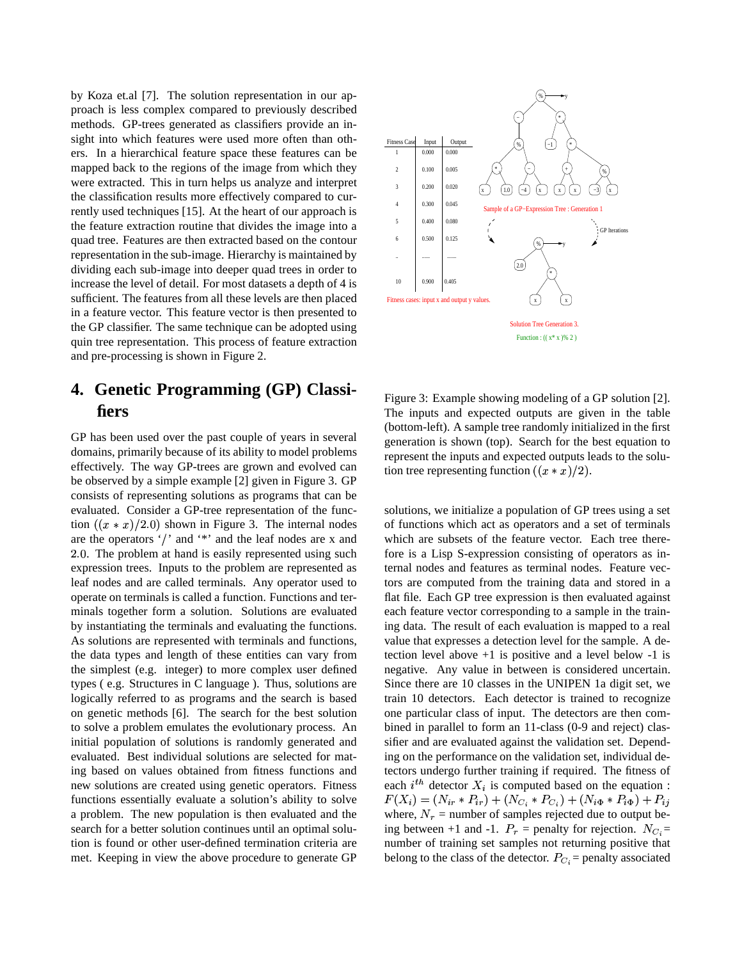by Koza et.al [7]. The solution representation in our approach is less complex compared to previously described methods. GP-trees generated as classifiers provide an insight into which features were used more often than others. In a hierarchical feature space these features can be mapped back to the regions of the image from which they were extracted. This in turn helps us analyze and interpret the classification results more effectively compared to currently used techniques [15]. At the heart of our approach is the feature extraction routine that divides the image into a quad tree. Features are then extracted based on the contour representation in the sub-image. Hierarchy is maintained by dividing each sub-image into deeper quad trees in order to increase the level of detail. For most datasets a depth of 4 is sufficient. The features from all these levels are then placed in a feature vector. This feature vector is then presented to the GP classifier. The same technique can be adopted using quin tree representation. This process of feature extraction and pre-processing is shown in Figure 2.

# **4. Genetic Programming (GP) Classifiers**

GP has been used over the past couple of years in several domains, primarily because of its ability to model problems effectively. The way GP-trees are grown and evolved can be observed by a simple example [2] given in Figure 3. GP consists of representing solutions as programs that can be evaluated. Consider a GP-tree representation of the function  $((x * x)/2.0)$  shown in Figure 3. The internal nodes are the operators '/' and '\*' and the leaf nodes are x and . The problem at hand is easily represented using such expression trees. Inputs to the problem are represented as leaf nodes and are called terminals. Any operator used to operate on terminals is called a function. Functions and terminals together form a solution. Solutions are evaluated by instantiating the terminals and evaluating the functions. As solutions are represented with terminals and functions, the data types and length of these entities can vary from the simplest (e.g. integer) to more complex user defined types ( e.g. Structures in C language ). Thus, solutions are logically referred to as programs and the search is based on genetic methods [6]. The search for the best solution to solve a problem emulates the evolutionary process. An initial population of solutions is randomly generated and evaluated. Best individual solutions are selected for mating based on values obtained from fitness functions and new solutions are created using genetic operators. Fitness functions essentially evaluate a solution's ability to solve a problem. The new population is then evaluated and the search for a better solution continues until an optimal solution is found or other user-defined termination criteria are met. Keeping in view the above procedure to generate GP



Figure 3: Example showing modeling of a GP solution [2]. The inputs and expected outputs are given in the table (bottom-left). A sample tree randomly initialized in the first generation is shown (top). Search for the best equation to represent the inputs and expected outputs leads to the solution tree representing function  $((x * x)/2)$ .

solutions, we initialize a population of GP trees using a set of functions which act as operators and a set of terminals which are subsets of the feature vector. Each tree therefore is a Lisp S-expression consisting of operators as internal nodes and features as terminal nodes. Feature vectors are computed from the training data and stored in a flat file. Each GP tree expression is then evaluated against each feature vector corresponding to a sample in the training data. The result of each evaluation is mapped to a real value that expresses a detection level for the sample. A detection level above +1 is positive and a level below -1 is negative. Any value in between is considered uncertain. Since there are 10 classes in the UNIPEN 1a digit set, we train 10 detectors. Each detector is trained to recognize one particular class of input. The detectors are then combined in parallel to form an 11-class (0-9 and reject) classifier and are evaluated against the validation set. Depending on the performance on the validation set, individual detectors undergo further training if required. The fitness of  each  $i^{th}$  detector  $X_i$  is computed based on the equation :  $F(X_i) = (N_{ir} * P_{ir}) + (N_{C_i} * P_{C_i}) + (N_{i\Phi} * P_{i\Phi}) + P_{ij}$ where,  $N_r$  = number of samples rejected due to output being between +1 and -1.  $P_r$  = penalty for rejection.  $N_{C_i}$ = number of training set samples not returning positive that belong to the class of the detector.  $P_{C_i}$  = penalty associated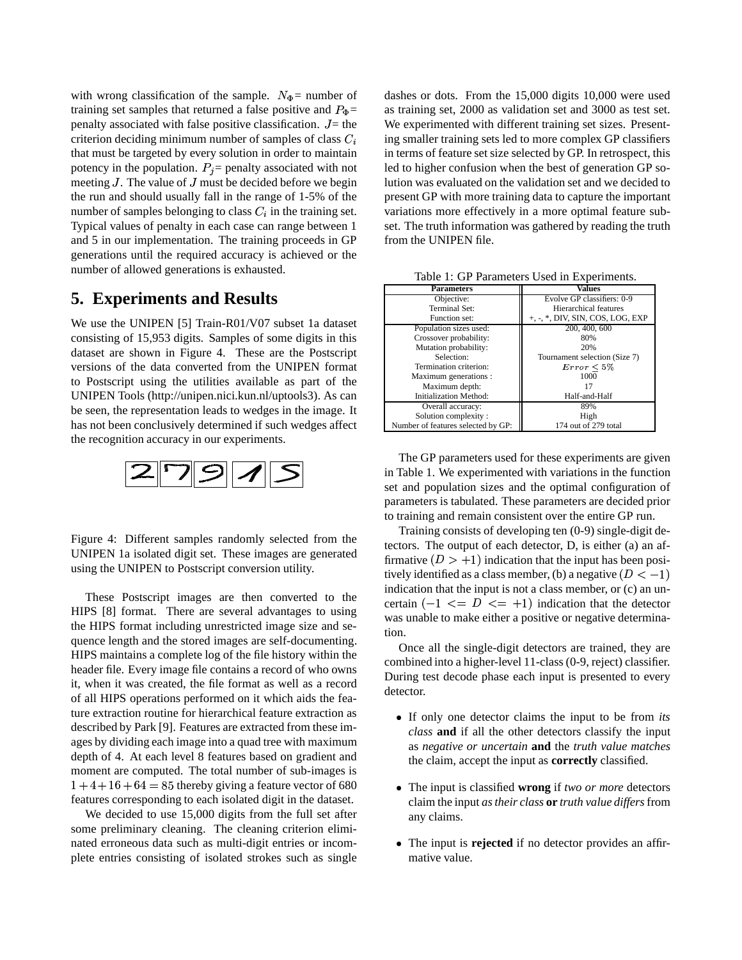with wrong classification of the sample.  $N_{\Phi}$  = number of training set samples that returned a false positive and  $P_{\Phi}$ = penalty associated with false positive classification.  $J =$  the W criterion deciding minimum number of samples of class  $C_i$ that must be targeted by every solution in order to maintain potency in the population.  $P_i$  = penalty associated with not meeting  $J$ . The value of  $J$  must be decided before we begin the run and should usually fall in the range of 1-5% of the number of samples belonging to class  $C_i$  in the training set. Typical values of penalty in each case can range between 1 and 5 in our implementation. The training proceeds in GP generations until the required accuracy is achieved or the number of allowed generations is exhausted.

# **5. Experiments and Results**

We use the UNIPEN [5] Train-R01/V07 subset 1a dataset consisting of 15,953 digits. Samples of some digits in this dataset are shown in Figure 4. These are the Postscript versions of the data converted from the UNIPEN format to Postscript using the utilities available as part of the UNIPEN Tools (http://unipen.nici.kun.nl/uptools3). As can be seen, the representation leads to wedges in the image. It has not been conclusively determined if such wedges affect the recognition accuracy in our experiments.



Figure 4: Different samples randomly selected from the UNIPEN 1a isolated digit set. These images are generated using the UNIPEN to Postscript conversion utility.

These Postscript images are then converted to the HIPS [8] format. There are several advantages to using the HIPS format including unrestricted image size and sequence length and the stored images are self-documenting. HIPS maintains a complete log of the file history within the header file. Every image file contains a record of who owns it, when it was created, the file format as well as a record of all HIPS operations performed on it which aids the feature extraction routine for hierarchical feature extraction as described by Park [9]. Features are extracted from these images by dividing each image into a quad tree with maximum depth of 4. At each level 8 features based on gradient and moment are computed. The total number of sub-images is  $1 + 4 + 16 + 64 = 85$  thereby giving a feature vector of 680 features corresponding to each isolated digit in the dataset.

We decided to use 15,000 digits from the full set after some preliminary cleaning. The cleaning criterion eliminated erroneous data such as multi-digit entries or incomplete entries consisting of isolated strokes such as single

 $k_{\Phi}$  = as training set, 2000 as validation set and 3000 as test set. dashes or dots. From the 15,000 digits 10,000 were used We experimented with different training set sizes. Presenting smaller training sets led to more complex GP classifiers in terms of feature set size selected by GP. In retrospect, this led to higher confusion when the best of generation GP solution was evaluated on the validation set and we decided to present GP with more training data to capture the important variations more effectively in a more optimal feature subset. The truth information was gathered by reading the truth from the UNIPEN file.

| <b>Parameters</b>                  | Values                             |  |  |
|------------------------------------|------------------------------------|--|--|
| Objective:                         | Evolve GP classifiers: 0-9         |  |  |
| Terminal Set:                      | Hierarchical features              |  |  |
| Function set:                      | $+, -, *,$ DIV, SIN, COS, LOG, EXP |  |  |
| Population sizes used:             | 200, 400, 600                      |  |  |
| Crossover probability:             | 80%                                |  |  |
| Mutation probability:              | 20%                                |  |  |
| Selection:                         | Tournament selection (Size 7)      |  |  |
| Termination criterion:             | $Error \leq 5\%$                   |  |  |
| Maximum generations :              | 1000                               |  |  |
| Maximum depth:                     |                                    |  |  |
| Initialization Method:             | Half-and-Half                      |  |  |
| Overall accuracy:                  | 89%                                |  |  |
| Solution complexity:               | High                               |  |  |
| Number of features selected by GP: | 174 out of 279 total               |  |  |

Table 1: GP Parameters Used in Experiments.

The GP parameters used for these experiments are given in Table 1. We experimented with variations in the function set and population sizes and the optimal configuration of parameters is tabulated. These parameters are decided prior to training and remain consistent over the entire GP run.

Training consists of developing ten (0-9) single-digit detectors. The output of each detector, D, is either (a) an affirmative  $(D > +1)$  indication that the input has been positively identified as a class member, (b) a negative  $(D < -1)$ and the company of the company of the company of the company of the company of the company of the company of the company of the company of the company of the company of the company of the company of the company of the comp indication that the input is not a class member, or  $(c)$  an uncertain  $(-1 \leq D \leq -1)$  indication that the detector was unable to make either a positive or negative determination.

Once all the single-digit detectors are trained, they are combined into a higher-level 11-class (0-9, reject) classifier. During test decode phase each input is presented to every detector.

- If only one detector claims the input to be from *its class* **and** if all the other detectors classify the input as *negative or uncertain* **and** the *truth value matches* the claim, accept the input as **correctly** classified.
- The input is classified **wrong** if *two or more* detectors claim the input *as their class* **or** *truth value differs* from any claims.
- The input is **rejected** if no detector provides an affirmative value.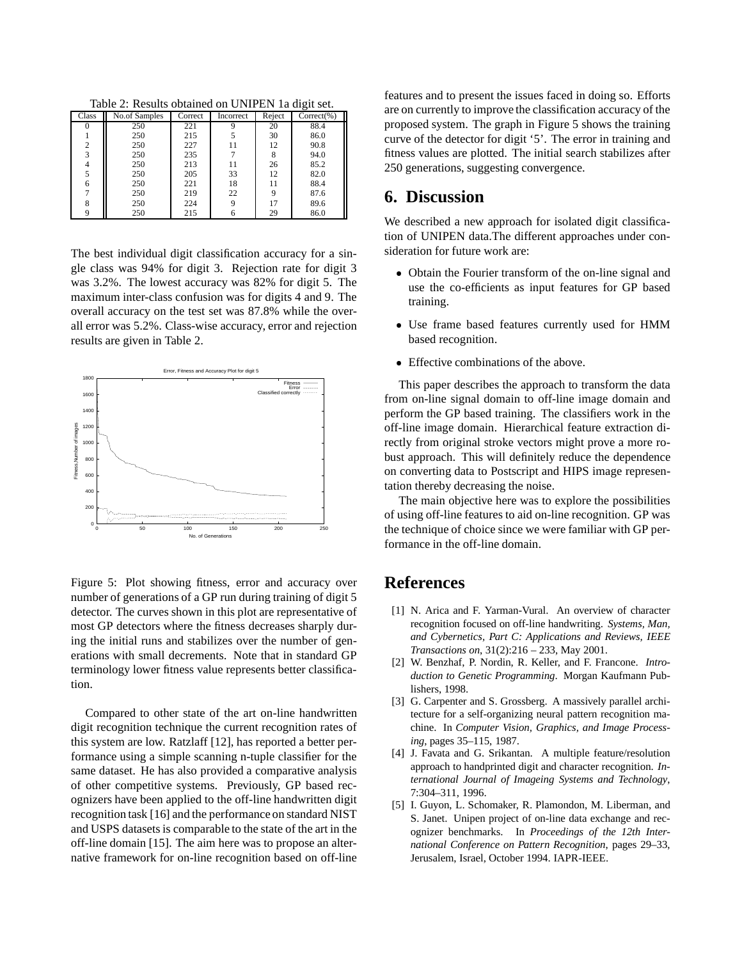Table 2: Results obtained on UNIPEN 1a digit set.

| Class          | No.of Samples | Correct | Incorrect | Reject | Correct(%) |
|----------------|---------------|---------|-----------|--------|------------|
|                | 250           | 221     |           | 20     | 88.4       |
|                | 250           | 215     |           | 30     | 86.0       |
| $\overline{2}$ | 250           | 227     | 11        | 12     | 90.8       |
| 3              | 250           | 235     |           | 8      | 94.0       |
| 4              | 250           | 213     | 11        | 26     | 85.2       |
| 5              | 250           | 205     | 33        | 12     | 82.0       |
| 6              | 250           | 221     | 18        | 11     | 88.4       |
| $\overline{7}$ | 250           | 219     | 22        | 9      | 87.6       |
| 8              | 250           | 224     | 9         | 17     | 89.6       |
| Q              | 250           | 215     | 6         | 29     | 86.0       |

The best individual digit classification accuracy for a single class was 94% for digit 3. Rejection rate for digit 3 was 3.2%. The lowest accuracy was 82% for digit 5. The maximum inter-class confusion was for digits 4 and 9. The overall accuracy on the test set was 87.8% while the overall error was 5.2%. Class-wise accuracy, error and rejection results are given in Table 2.



Figure 5: Plot showing fitness, error and accuracy over number of generations of a GP run during training of digit 5 detector. The curves shown in this plot are representative of most GP detectors where the fitness decreases sharply during the initial runs and stabilizes over the number of generations with small decrements. Note that in standard GP terminology lower fitness value represents better classification.

Compared to other state of the art on-line handwritten digit recognition technique the current recognition rates of this system are low. Ratzlaff [12], has reported a better performance using a simple scanning n-tuple classifier for the same dataset. He has also provided a comparative analysis of other competitive systems. Previously, GP based recognizers have been applied to the off-line handwritten digit recognition task [16] and the performance on standard NIST and USPS datasets is comparable to the state of the art in the off-line domain [15]. The aim here was to propose an alternative framework for on-line recognition based on off-line

features and to present the issues faced in doing so. Efforts are on currently to improve the classification accuracy of the proposed system. The graph in Figure 5 shows the training curve of the detector for digit '5'. The error in training and fitness values are plotted. The initial search stabilizes after 250 generations, suggesting convergence.

# **6. Discussion**

We described a new approach for isolated digit classification of UNIPEN data.The different approaches under consideration for future work are:

- Obtain the Fourier transform of the on-line signal and use the co-efficients as input features for GP based training.
- Use frame based features currently used for HMM based recognition.
- Effective combinations of the above.

This paper describes the approach to transform the data from on-line signal domain to off-line image domain and perform the GP based training. The classifiers work in the off-line image domain. Hierarchical feature extraction directly from original stroke vectors might prove a more robust approach. This will definitely reduce the dependence on converting data to Postscript and HIPS image representation thereby decreasing the noise.

The main objective here was to explore the possibilities of using off-line features to aid on-line recognition. GP was the technique of choice since we were familiar with GP performance in the off-line domain.

# **References**

- [1] N. Arica and F. Yarman-Vural. An overview of character recognition focused on off-line handwriting. *Systems, Man, and Cybernetics, Part C: Applications and Reviews, IEEE Transactions on*, 31(2):216 – 233, May 2001.
- [2] W. Benzhaf, P. Nordin, R. Keller, and F. Francone. *Introduction to Genetic Programming*. Morgan Kaufmann Publishers, 1998.
- [3] G. Carpenter and S. Grossberg. A massively parallel architecture for a self-organizing neural pattern recognition machine. In *Computer Vision, Graphics, and Image Processing*, pages 35–115, 1987.
- [4] J. Favata and G. Srikantan. A multiple feature/resolution approach to handprinted digit and character recognition. *International Journal of Imageing Systems and Technology*, 7:304–311, 1996.
- [5] I. Guyon, L. Schomaker, R. Plamondon, M. Liberman, and S. Janet. Unipen project of on-line data exchange and recognizer benchmarks. In *Proceedings of the 12th International Conference on Pattern Recognition*, pages 29–33, Jerusalem, Israel, October 1994. IAPR-IEEE.